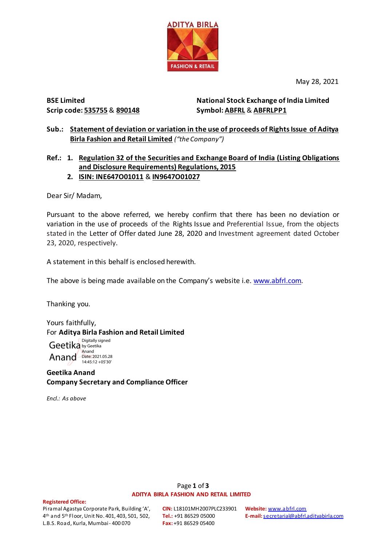

May 28, 2021

### **BSE Limited Scrip code: 535755** & **890148**

**National Stock Exchange of India Limited Symbol: ABFRL** & **ABFRLPP1**

## **Sub.: Statement of deviation or variation in the use of proceeds of Rights Issue of Aditya Birla Fashion and Retail Limited** *("the Company")*

# **Ref.: 1. Regulation 32 of the Securities and Exchange Board of India (Listing Obligations and Disclosure Requirements) Regulations, 2015**

# **2. ISIN: INE647O01011** & **IN9647O01027**

Dear Sir/ Madam,

Pursuant to the above referred, we hereby confirm that there has been no deviation or variation in the use of proceeds of the Rights Issue and Preferential Issue, from the objects stated in the Letter of Offer dated June 28, 2020 and Investment agreement dated October 23, 2020, respectively.

A statement in this behalf is enclosed herewith.

The above is being made available on the Company's website i.e. [www.abfrl.com.](http://www.abfrl.com/)

Thanking you.

Yours faithfully, For **Aditya Birla Fashion and Retail Limited**

Geetika by Geetika Anand Date: 2021.05.28 Digitally signed Anand 14:45:12 +05'30'

# **Geetika Anand Company Secretary and Compliance Officer**

*Encl.: As above*

### Page **1** of **3 ADITYA BIRLA FASHION AND RETAIL LIMITED**

#### **Registered Office:**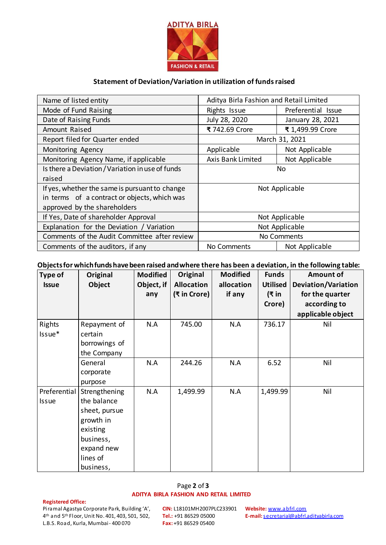

### **Statement of Deviation/Variation in utilization of funds raised**

| Name of listed entity                            | Aditya Birla Fashion and Retail Limited |                    |  |  |
|--------------------------------------------------|-----------------------------------------|--------------------|--|--|
| Mode of Fund Raising                             | Rights Issue                            | Preferential Issue |  |  |
| Date of Raising Funds                            | July 28, 2020                           | January 28, 2021   |  |  |
| Amount Raised                                    | ₹ 742.69 Crore                          | ₹ 1,499.99 Crore   |  |  |
| Report filed for Quarter ended                   | March 31, 2021                          |                    |  |  |
| Monitoring Agency                                | Applicable                              | Not Applicable     |  |  |
| Monitoring Agency Name, if applicable            | <b>Axis Bank Limited</b>                | Not Applicable     |  |  |
| Is there a Deviation / Variation in use of funds | No.                                     |                    |  |  |
| raised                                           |                                         |                    |  |  |
| If yes, whether the same is pursuant to change   | Not Applicable                          |                    |  |  |
| in terms of a contract or objects, which was     |                                         |                    |  |  |
| approved by the shareholders                     |                                         |                    |  |  |
| If Yes, Date of shareholder Approval             | Not Applicable                          |                    |  |  |
| Explanation for the Deviation / Variation        | Not Applicable                          |                    |  |  |
| Comments of the Audit Committee after review     | No Comments                             |                    |  |  |
| Comments of the auditors, if any                 | Not Applicable<br>No Comments           |                    |  |  |

### **Objectsforwhichfundshavebeen raised andwhere there has been a deviation, in the following table:**

| <b>Type of</b> | Original      | <b>Modified</b> | Original          | <b>Modified</b> | <b>Funds</b>    | <b>Amount of</b>           |
|----------------|---------------|-----------------|-------------------|-----------------|-----------------|----------------------------|
| <b>Issue</b>   | Object        | Object, if      | <b>Allocation</b> | allocation      | <b>Utilised</b> | <b>Deviation/Variation</b> |
|                |               | any             | (₹ in Crore)      | if any          | (₹ in           | for the quarter            |
|                |               |                 |                   |                 | Crore)          | according to               |
|                |               |                 |                   |                 |                 | applicable object          |
| Rights         | Repayment of  | N.A             | 745.00            | N.A             | 736.17          | Nil                        |
| Issue*         | certain       |                 |                   |                 |                 |                            |
|                | borrowings of |                 |                   |                 |                 |                            |
|                | the Company   |                 |                   |                 |                 |                            |
|                | General       | N.A             | 244.26            | N.A             | 6.52            | Nil                        |
|                | corporate     |                 |                   |                 |                 |                            |
|                | purpose       |                 |                   |                 |                 |                            |
| Preferential   | Strengthening | N.A             | 1,499.99          | N.A             | 1,499.99        | Nil                        |
| <b>Issue</b>   | the balance   |                 |                   |                 |                 |                            |
|                | sheet, pursue |                 |                   |                 |                 |                            |
|                | growth in     |                 |                   |                 |                 |                            |
|                | existing      |                 |                   |                 |                 |                            |
|                | business,     |                 |                   |                 |                 |                            |
|                | expand new    |                 |                   |                 |                 |                            |
|                | lines of      |                 |                   |                 |                 |                            |
|                | business,     |                 |                   |                 |                 |                            |

### Page **2** of **3 ADITYA BIRLA FASHION AND RETAIL LIMITED**

#### **Registered Office:**

**CIN:** L18101MH2007PLC233901 **Tel.:** +91 86529 05000 **Fax:** +91 86529 05400